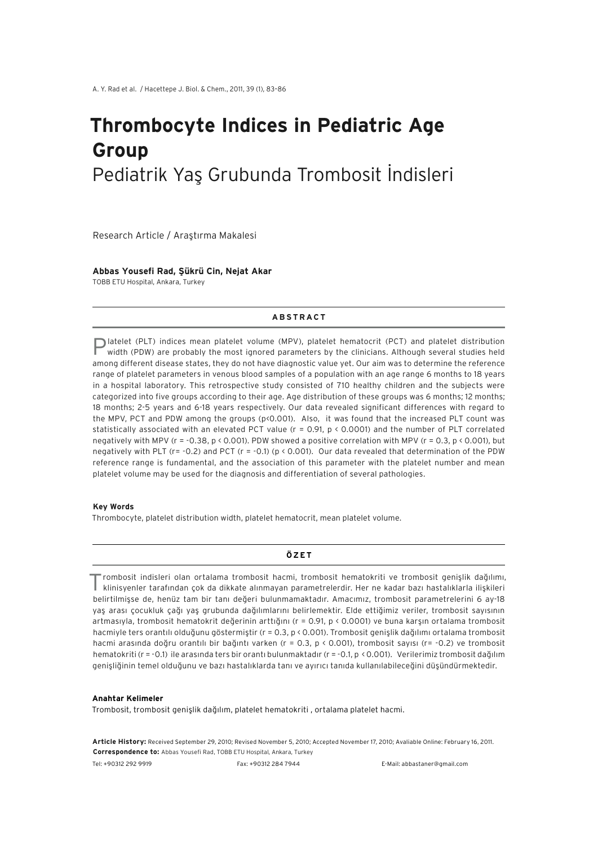# **Thrombocyte Indices in Pediatric Age Group** Pediatrik Yaş Grubunda Trombosit İndisleri

Research Article / Araştırma Makalesi

#### **Abbas Yousefi Rad, Şükrü Cin, Nejat Akar**

TOBB ETU Hospital, Ankara, Turkey

## **ABSTRACT**

Platelet (PLT) indices mean platelet volume (MPV), platelet hematocrit (PCT) and platelet distribution width (PDW) are probably the most ignored parameters by the clinicians. Although several studies held among different disease states, they do not have diagnostic value yet. Our aim was to determine the reference range of platelet parameters in venous blood samples of a population with an age range 6 months to 18 years in a hospital laboratory. This retrospective study consisted of 710 healthy children and the subjects were categorized into five groups according to their age. Age distribution of these groups was 6 months; 12 months; 18 months; 2-5 years and 6-18 years respectively. Our data revealed significant differences with regard to the MPV, PCT and PDW among the groups (p<0.001). Also, it was found that the increased PLT count was statistically associated with an elevated PCT value ( $r = 0.91$ ,  $p \lt 0.0001$ ) and the number of PLT correlated negatively with MPV ( $r = -0.38$ ,  $p \le 0.001$ ). PDW showed a positive correlation with MPV ( $r = 0.3$ ,  $p \le 0.001$ ), but negatively with PLT (r= -0.2) and PCT (r = -0.1) (p < 0.001). Our data revealed that determination of the PDW reference range is fundamental, and the association of this parameter with the platelet number and mean platelet volume may be used for the diagnosis and differentiation of several pathologies.

#### **Key Words**

Thrombocyte, platelet distribution width, platelet hematocrit, mean platelet volume.

#### **ÖZET**

Trombosit indisleri olan ortalama trombosit hacmi, trombosit hematokriti ve trombosit genişlik dağılımı, klinisyenler tarafından çok da dikkate alınmayan parametrelerdir. Her ne kadar bazı hastalıklarla ilişkileri belirtilmişse de, henüz tam bir tanı değeri bulunmamaktadır. Amacımız, trombosit parametrelerini 6 ay-18 yaş arası çocukluk çağı yaş grubunda dağılımlarını belirlemektir. Elde ettiğimiz veriler, trombosit sayısının artmasıyla, trombosit hematokrit değerinin arttığını (r = 0.91, p < 0.0001) ve buna karşın ortalama trombosit hacmiyle ters orantılı olduğunu göstermiştir (r = 0.3, p < 0.001). Trombosit genişlik dağılımı ortalama trombosit hacmi arasında doğru orantılı bir bağıntı varken (r = 0.3, p < 0.001), trombosit sayısı (r= -0.2) ve trombosit hematokriti (r = -0.1) ile arasında ters bir orantı bulunmaktadır (r = -0.1, p < 0.001). Verilerimiz trombosit dağılım genişliğinin temel olduğunu ve bazı hastalıklarda tanı ve ayırıcı tanıda kullanılabileceğini düşündürmektedir.

#### **Anahtar Kelimeler**

Trombosit, trombosit genişlik dağılım, platelet hematokriti , ortalama platelet hacmi.

**Article History:** Received September 29, 2010; Revised November 5, 2010; Accepted November 17, 2010; Avaliable Online: February 16, 2011. **Correspondence to:** Abbas Yousefi Rad, TOBB ETU Hospital, Ankara, Turkey

Tel: +90312 292 9919 Fax: +90312 284 7944 E-Mail: abbastaner@gmail.com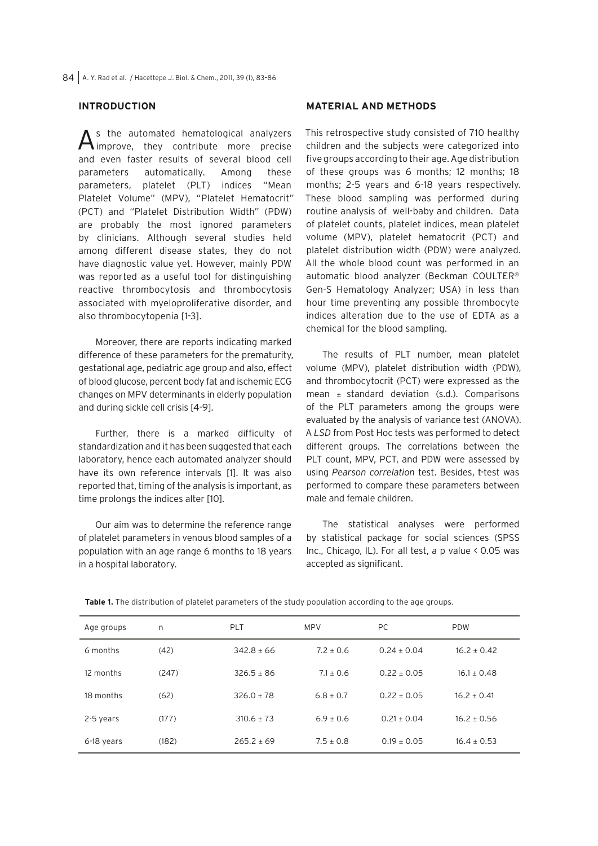# **INTRODUCTION**

As the automated hematological analyzers improve, they contribute more precise and even faster results of several blood cell parameters automatically. Among these parameters, platelet (PLT) indices "Mean Platelet Volume" (MPV), "Platelet Hematocrit" (PCT) and "Platelet Distribution Width" (PDW) are probably the most ignored parameters by clinicians. Although several studies held among different disease states, they do not have diagnostic value yet. However, mainly PDW was reported as a useful tool for distinguishing reactive thrombocytosis and thrombocytosis associated with myeloproliferative disorder, and also thrombocytopenia [1-3].

Moreover, there are reports indicating marked difference of these parameters for the prematurity, gestational age, pediatric age group and also, effect of blood glucose, percent body fat and ischemic ECG changes on MPV determinants in elderly population and during sickle cell crisis [4-9].

Further, there is a marked difficulty of standardization and it has been suggested that each laboratory, hence each automated analyzer should have its own reference intervals [1]. It was also reported that, timing of the analysis is important, as time prolongs the indices alter [10].

Our aim was to determine the reference range of platelet parameters in venous blood samples of a population with an age range 6 months to 18 years in a hospital laboratory.

# **MATERIAL AND METHODS**

This retrospective study consisted of 710 healthy children and the subjects were categorized into five groups according to their age. Age distribution of these groups was 6 months; 12 months; 18 months; 2-5 years and 6-18 years respectively. These blood sampling was performed during routine analysis of well-baby and children. Data of platelet counts, platelet indices, mean platelet volume (MPV), platelet hematocrit (PCT) and platelet distribution width (PDW) were analyzed. All the whole blood count was performed in an automatic blood analyzer (Beckman COULTER® Gen-S Hematology Analyzer; USA) in less than hour time preventing any possible thrombocyte indices alteration due to the use of EDTA as a chemical for the blood sampling.

The results of PLT number, mean platelet volume (MPV), platelet distribution width (PDW), and thrombocytocrit (PCT) were expressed as the mean  $\pm$  standard deviation (s.d.). Comparisons of the PLT parameters among the groups were evaluated by the analysis of variance test (ANOVA). A *LSD* from Post Hoc tests was performed to detect different groups. The correlations between the PLT count, MPV, PCT, and PDW were assessed by using *Pearson correlation* test. Besides, t-test was performed to compare these parameters between male and female children.

The statistical analyses were performed by statistical package for social sciences (SPSS Inc., Chicago, IL). For all test, a p value < 0.05 was accepted as significant.

| Age groups | n     | <b>PLT</b>     | <b>MPV</b>  | PC.           | <b>PDW</b>    |
|------------|-------|----------------|-------------|---------------|---------------|
| 6 months   | (42)  | $342.8 + 66$   | $7.2 + 0.6$ | $0.24 + 0.04$ | $16.2 + 0.42$ |
| 12 months  | (247) | $326.5 + 86$   | $7.1 + 0.6$ | $0.22 + 0.05$ | $16.1 + 0.48$ |
| 18 months  | (62)  | $326.0 + 78$   | $6.8 + 0.7$ | $0.22 + 0.05$ | $16.2 + 0.41$ |
| 2-5 years  | (177) | $310.6 + 73$   | $6.9 + 0.6$ | $0.21 + 0.04$ | $16.2 + 0.56$ |
| 6-18 years | (182) | $265.2 \pm 69$ | $7.5 + 0.8$ | $0.19 + 0.05$ | $16.4 + 0.53$ |

**Table 1.** The distribution of platelet parameters of the study population according to the age groups.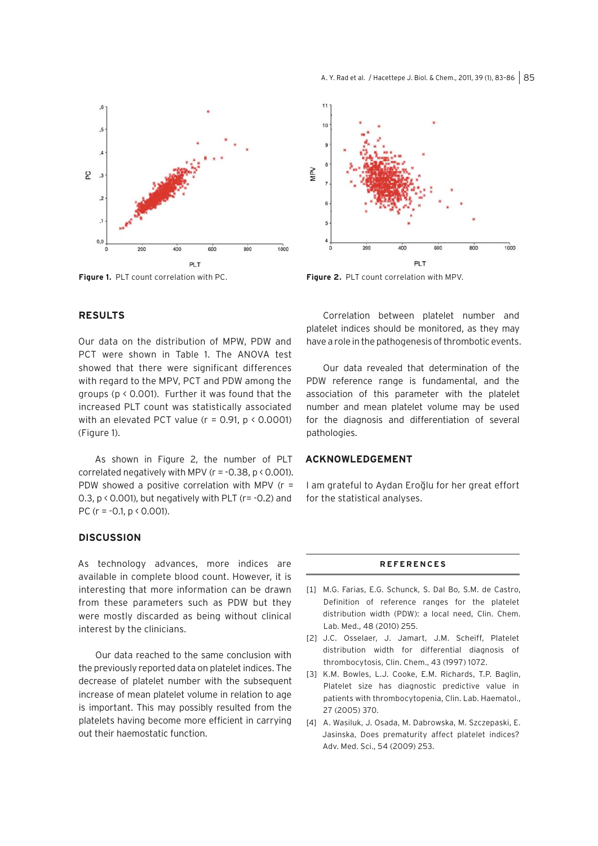



**Figure 1.** PLT count correlation with PC. **Figure 2.** PLT count correlation with MPV.

# **RESULTS**

Our data on the distribution of MPW, PDW and PCT were shown in Table 1. The ANOVA test showed that there were significant differences with regard to the MPV, PCT and PDW among the groups (p < 0.001). Further it was found that the increased PLT count was statistically associated with an elevated PCT value ( $r = 0.91$ ,  $p \le 0.0001$ ) (Figure 1).

As shown in Figure 2, the number of PLT correlated negatively with MPV ( $r = -0.38$ ,  $p \le 0.001$ ). PDW showed a positive correlation with MPV ( $r =$ 0.3,  $p$  < 0.001), but negatively with PLT ( $r = -0.2$ ) and PC ( $r = -0.1$ ,  $p \le 0.001$ ).

## **DISCUSSION**

As technology advances, more indices are available in complete blood count. However, it is interesting that more information can be drawn from these parameters such as PDW but they were mostly discarded as being without clinical interest by the clinicians.

Our data reached to the same conclusion with the previously reported data on platelet indices. The decrease of platelet number with the subsequent increase of mean platelet volume in relation to age is important. This may possibly resulted from the platelets having become more efficient in carrying out their haemostatic function.

Correlation between platelet number and platelet indices should be monitored, as they may have a role in the pathogenesis of thrombotic events.

Our data revealed that determination of the PDW reference range is fundamental, and the association of this parameter with the platelet number and mean platelet volume may be used for the diagnosis and differentiation of several pathologies.

### **ACKNOWLEDGEMENT**

I am grateful to Aydan Eroğlu for her great effort for the statistical analyses.

#### **REFERENCES**

- [1] M.G. Farias, E.G. Schunck, S. Dal Bo, S.M. de Castro, Definition of reference ranges for the platelet distribution width (PDW): a local need, Clin. Chem. Lab. Med., 48 (2010) 255.
- [2] J.C. Osselaer, J. Jamart, J.M. Scheiff, Platelet distribution width for differential diagnosis of thrombocytosis, Clin. Chem., 43 (1997) 1072.
- [3] K.M. Bowles, L.J. Cooke, E.M. Richards, T.P. Baglin, Platelet size has diagnostic predictive value in patients with thrombocytopenia, Clin. Lab. Haematol., 27 (2005) 370.
- [4] A. Wasiluk, J. Osada, M. Dabrowska, M. Szczepaski, E. Jasinska, Does prematurity affect platelet indices? Adv. Med. Sci., 54 (2009) 253.